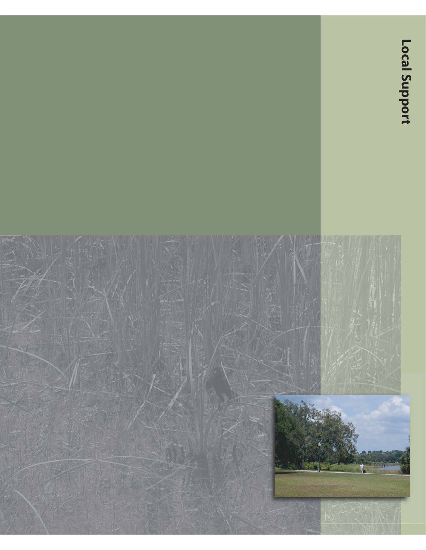# **Local Support**

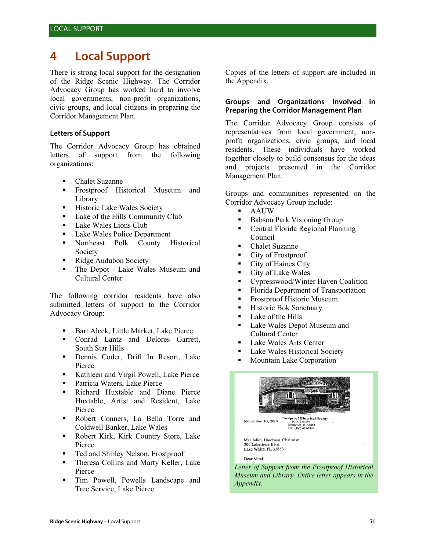# **4 Local Support**

There is strong local support for the designation of the Ridge Scenic Highway. The Corridor Advocacy Group has worked hard to involve local governments, non-profit organizations, civic groups, and local citizens in preparing the Corridor Management Plan.

### **Letters of Support**

The Corridor Advocacy Group has obtained letters of support from the following organizations:

- Chalet Suzanne
- Frostproof Historical Museum and Library
- **Historic Lake Wales Society**
- Lake of the Hills Community Club
- **Lake Wales Lions Club**
- **Lake Wales Police Department**
- Northeast Polk County Historical Society
- Ridge Audubon Society
- The Depot Lake Wales Museum and Cultural Center

The following corridor residents have also submitted letters of support to the Corridor Advocacy Group:

- **Bart Aleck, Little Market, Lake Pierce**
- Conrad Lantz and Delores Garrett, South Star Hills
- Dennis Coder, Drift In Resort, Lake Pierce
- Kathleen and Virgil Powell, Lake Pierce
- Patricia Waters, Lake Pierce
- Richard Huxtable and Diane Pierce Huxtable, Artist and Resident, Lake Pierce
- Robert Conners, La Bella Torre and Coldwell Banker, Lake Wales
- Robert Kirk, Kirk Country Store, Lake Pierce
- Ted and Shirley Nelson, Frostproof
- **Theresa Collins and Marty Keller, Lake** Pierce
- Tim Powell, Powells Landscape and Tree Service, Lake Pierce

Copies of the letters of support are included in the Appendix.

### **Groups and Organizations Involved in Preparing the Corridor Management Plan**

The Corridor Advocacy Group consists of representatives from local government, nonprofit organizations, civic groups, and local residents. These individuals have worked together closely to build consensus for the ideas and projects presented in the Corridor Management Plan.

Groups and communities represented on the Corridor Advocacy Group include:

- AAUW
- Babson Park Visioning Group
- Central Florida Regional Planning Council
- Chalet Suzanne
- City of Frostproof
- **City of Haines City**
- City of Lake Wales
- Cypresswood/Winter Haven Coalition
- Florida Department of Transportation
- **Frostproof Historic Museum**
- **Historic Bok Sanctuary**
- **Lake of the Hills**
- **Lake Wales Depot Museum and** Cultural Center
- Lake Wales Arts Center
- **Lake Wales Historical Society**
- **Mountain Lake Corporation**



*Museum and Library. Entire letter appears in the Appendix.*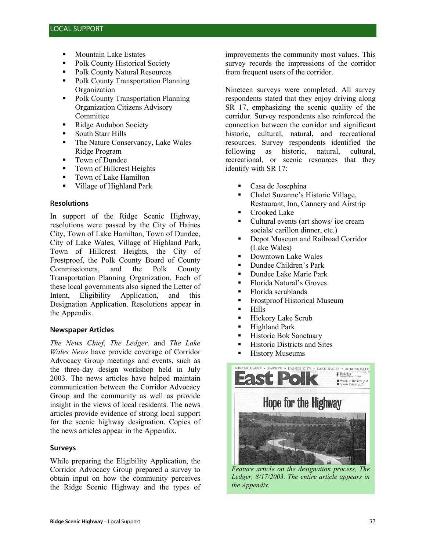- Mountain Lake Estates
- Polk County Historical Society
- Polk County Natural Resources
- Polk County Transportation Planning **Organization**
- Polk County Transportation Planning Organization Citizens Advisory Committee
- Ridge Audubon Society
- South Starr Hills
- The Nature Conservancy, Lake Wales Ridge Program
- **Town of Dundee**
- Town of Hillcrest Heights
- **Town of Lake Hamilton**
- Village of Highland Park

### **Resolutions**

In support of the Ridge Scenic Highway, resolutions were passed by the City of Haines City, Town of Lake Hamilton, Town of Dundee, City of Lake Wales, Village of Highland Park, Town of Hillcrest Heights, the City of Frostproof, the Polk County Board of County Commissioners, and the Polk County Transportation Planning Organization. Each of these local governments also signed the Letter of Intent, Eligibility Application, and this Designation Application. Resolutions appear in the Appendix.

### **Newspaper Articles**

*The News Chief*, *The Ledger,* and *The Lake Wales News* have provide coverage of Corridor Advocacy Group meetings and events, such as the three-day design workshop held in July 2003. The news articles have helped maintain communication between the Corridor Advocacy Group and the community as well as provide insight in the views of local residents. The news articles provide evidence of strong local support for the scenic highway designation. Copies of the news articles appear in the Appendix.

## **Surveys**

While preparing the Eligibility Application, the Corridor Advocacy Group prepared a survey to obtain input on how the community perceives the Ridge Scenic Highway and the types of improvements the community most values. This survey records the impressions of the corridor from frequent users of the corridor.

Nineteen surveys were completed. All survey respondents stated that they enjoy driving along SR 17, emphasizing the scenic quality of the corridor. Survey respondents also reinforced the connection between the corridor and significant historic, cultural, natural, and recreational resources. Survey respondents identified the following as historic, natural, cultural, recreational, or scenic resources that they identify with SR 17:

- Casa de Josephina
- Chalet Suzanne's Historic Village, Restaurant, Inn, Cannery and Airstrip
- Crooked Lake
- Cultural events (art shows/ ice cream socials/ carillon dinner, etc.)
- **•** Depot Museum and Railroad Corridor (Lake Wales)
- **Downtown Lake Wales**
- **Dundee Children's Park**
- Dundee Lake Marie Park
- Florida Natural's Groves
- **Florida scrublands**
- **Frostproof Historical Museum**
- **-** Hills
- **Hickory Lake Scrub**
- **Highland Park**
- **Historic Bok Sanctuary**
- **Historic Districts and Sites**
- **-** History Museums



*Feature article on the designation process, The Ledger, 8/17/2003. The entire article appears in the Appendix.*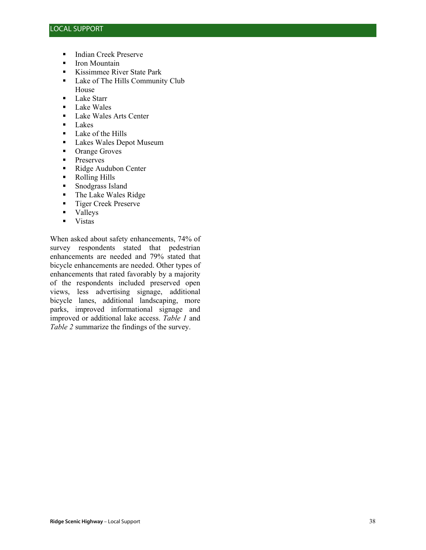- **Indian Creek Preserve**
- **I**ron Mountain
- Kissimmee River State Park
- **Lake of The Hills Community Club** House
- **Lake Starr**
- **Lake Wales**
- Lake Wales Arts Center
- **Lakes**
- **Lake of the Hills**
- **Lakes Wales Depot Museum**
- Orange Groves
- **Preserves**
- Ridge Audubon Center
- Rolling Hills
- Snodgrass Island<br>• The Lake Wales I
- The Lake Wales Ridge
- **Tiger Creek Preserve**
- Valleys
- **v** Vistas

When asked about safety enhancements, 74% of survey respondents stated that pedestrian enhancements are needed and 79% stated that bicycle enhancements are needed. Other types of enhancements that rated favorably by a majority of the respondents included preserved open views, less advertising signage, additional bicycle lanes, additional landscaping, more parks, improved informational signage and improved or additional lake access. *Table 1* and *Table 2* summarize the findings of the survey.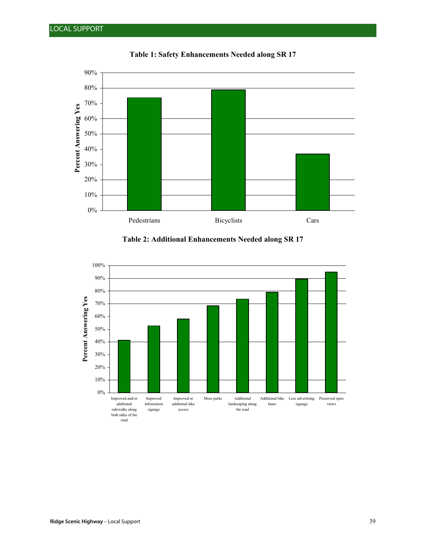

**Table 1: Safety Enhancements Needed along SR 17**